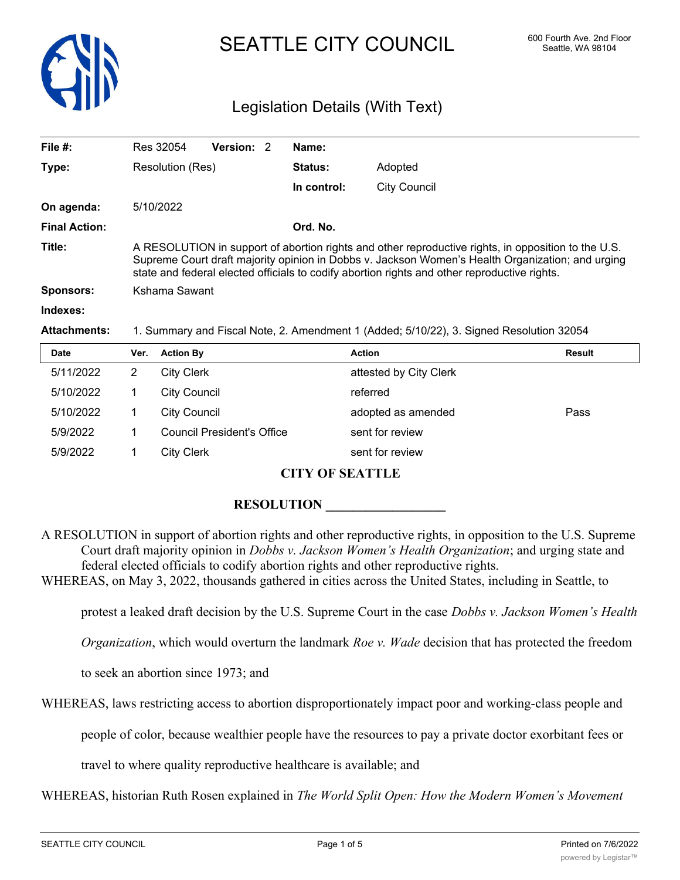

# SEATTLE CITY COUNCIL 600 Fourth Ave. 2nd Floor

# Legislation Details (With Text)

| File $#$ :           | Res 32054                                                                                                                                                                                                                                                                                               | Version: 2 |  | Name:          |                     |  |
|----------------------|---------------------------------------------------------------------------------------------------------------------------------------------------------------------------------------------------------------------------------------------------------------------------------------------------------|------------|--|----------------|---------------------|--|
| Type:                | Resolution (Res)                                                                                                                                                                                                                                                                                        |            |  | <b>Status:</b> | Adopted             |  |
|                      |                                                                                                                                                                                                                                                                                                         |            |  | In control:    | <b>City Council</b> |  |
| On agenda:           | 5/10/2022                                                                                                                                                                                                                                                                                               |            |  |                |                     |  |
| <b>Final Action:</b> |                                                                                                                                                                                                                                                                                                         |            |  | Ord. No.       |                     |  |
| Title:               | A RESOLUTION in support of abortion rights and other reproductive rights, in opposition to the U.S.<br>Supreme Court draft majority opinion in Dobbs v. Jackson Women's Health Organization; and urging<br>state and federal elected officials to codify abortion rights and other reproductive rights. |            |  |                |                     |  |
| Sponsors:            | Kshama Sawant                                                                                                                                                                                                                                                                                           |            |  |                |                     |  |
| Indexes:             |                                                                                                                                                                                                                                                                                                         |            |  |                |                     |  |
| <b>Attachments:</b>  | 1. Summary and Fiscal Note, 2. Amendment 1 (Added; 5/10/22), 3. Signed Resolution 32054                                                                                                                                                                                                                 |            |  |                |                     |  |

| <b>Date</b> | Ver.           | <b>Action By</b>                  | <b>Action</b>          | Result |
|-------------|----------------|-----------------------------------|------------------------|--------|
| 5/11/2022   | $\overline{2}$ | <b>City Clerk</b>                 | attested by City Clerk |        |
| 5/10/2022   |                | <b>City Council</b>               | referred               |        |
| 5/10/2022   |                | <b>City Council</b>               | adopted as amended     | Pass   |
| 5/9/2022    |                | <b>Council President's Office</b> | sent for review        |        |
| 5/9/2022    |                | <b>City Clerk</b>                 | sent for review        |        |

## **CITY OF SEATTLE**

# **RESOLUTION**

A RESOLUTION in support of abortion rights and other reproductive rights, in opposition to the U.S. Supreme Court draft majority opinion in *Dobbs v. Jackson Women's Health Organization*; and urging state and federal elected officials to codify abortion rights and other reproductive rights.

WHEREAS, on May 3, 2022, thousands gathered in cities across the United States, including in Seattle, to

protest a leaked draft decision by the U.S. Supreme Court in the case *Dobbs v. Jackson Women's Health*

*Organization*, which would overturn the landmark *Roe v. Wade* decision that has protected the freedom

to seek an abortion since 1973; and

WHEREAS, laws restricting access to abortion disproportionately impact poor and working-class people and

people of color, because wealthier people have the resources to pay a private doctor exorbitant fees or

travel to where quality reproductive healthcare is available; and

WHEREAS, historian Ruth Rosen explained in *The World Split Open: How the Modern Women's Movement*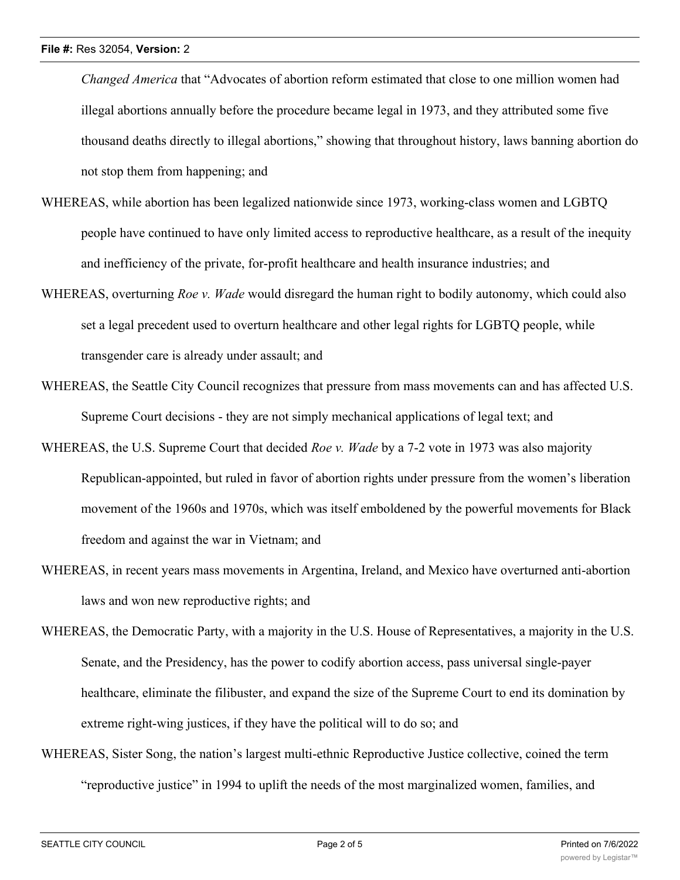*Changed America* that "Advocates of abortion reform estimated that close to one million women had illegal abortions annually before the procedure became legal in 1973, and they attributed some five thousand deaths directly to illegal abortions," showing that throughout history, laws banning abortion do not stop them from happening; and

- WHEREAS, while abortion has been legalized nationwide since 1973, working-class women and LGBTQ people have continued to have only limited access to reproductive healthcare, as a result of the inequity and inefficiency of the private, for-profit healthcare and health insurance industries; and
- WHEREAS, overturning *Roe v. Wade* would disregard the human right to bodily autonomy, which could also set a legal precedent used to overturn healthcare and other legal rights for LGBTQ people, while transgender care is already under assault; and
- WHEREAS, the Seattle City Council recognizes that pressure from mass movements can and has affected U.S. Supreme Court decisions - they are not simply mechanical applications of legal text; and
- WHEREAS, the U.S. Supreme Court that decided *Roe v. Wade* by a 7-2 vote in 1973 was also majority Republican-appointed, but ruled in favor of abortion rights under pressure from the women's liberation movement of the 1960s and 1970s, which was itself emboldened by the powerful movements for Black freedom and against the war in Vietnam; and
- WHEREAS, in recent years mass movements in Argentina, Ireland, and Mexico have overturned anti-abortion laws and won new reproductive rights; and
- WHEREAS, the Democratic Party, with a majority in the U.S. House of Representatives, a majority in the U.S. Senate, and the Presidency, has the power to codify abortion access, pass universal single-payer healthcare, eliminate the filibuster, and expand the size of the Supreme Court to end its domination by extreme right-wing justices, if they have the political will to do so; and
- WHEREAS, Sister Song, the nation's largest multi-ethnic Reproductive Justice collective, coined the term "reproductive justice" in 1994 to uplift the needs of the most marginalized women, families, and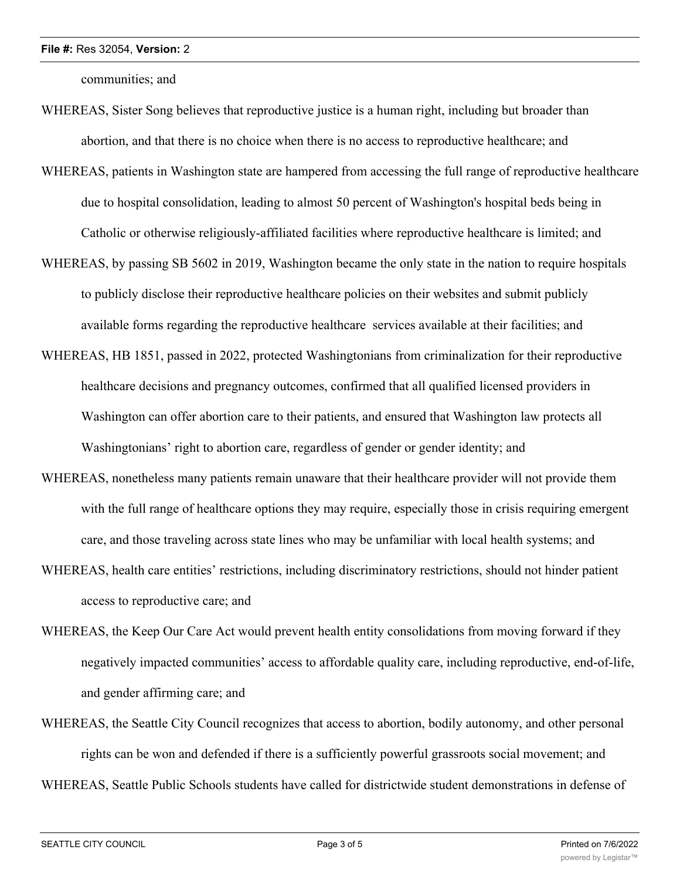#### **File #:** Res 32054, **Version:** 2

communities; and

- WHEREAS, Sister Song believes that reproductive justice is a human right, including but broader than abortion, and that there is no choice when there is no access to reproductive healthcare; and
- WHEREAS, patients in Washington state are hampered from accessing the full range of reproductive healthcare due to hospital consolidation, leading to almost 50 percent of Washington's hospital beds being in Catholic or otherwise religiously-affiliated facilities where reproductive healthcare is limited; and
- WHEREAS, by passing SB 5602 in 2019, Washington became the only state in the nation to require hospitals to publicly disclose their reproductive healthcare policies on their websites and submit publicly available forms regarding the reproductive healthcare services available at their facilities; and
- WHEREAS, HB 1851, passed in 2022, protected Washingtonians from criminalization for their reproductive healthcare decisions and pregnancy outcomes, confirmed that all qualified licensed providers in Washington can offer abortion care to their patients, and ensured that Washington law protects all Washingtonians' right to abortion care, regardless of gender or gender identity; and
- WHEREAS, nonetheless many patients remain unaware that their healthcare provider will not provide them with the full range of healthcare options they may require, especially those in crisis requiring emergent care, and those traveling across state lines who may be unfamiliar with local health systems; and
- WHEREAS, health care entities' restrictions, including discriminatory restrictions, should not hinder patient access to reproductive care; and
- WHEREAS, the Keep Our Care Act would prevent health entity consolidations from moving forward if they negatively impacted communities' access to affordable quality care, including reproductive, end-of-life, and gender affirming care; and
- WHEREAS, the Seattle City Council recognizes that access to abortion, bodily autonomy, and other personal rights can be won and defended if there is a sufficiently powerful grassroots social movement; and WHEREAS, Seattle Public Schools students have called for districtwide student demonstrations in defense of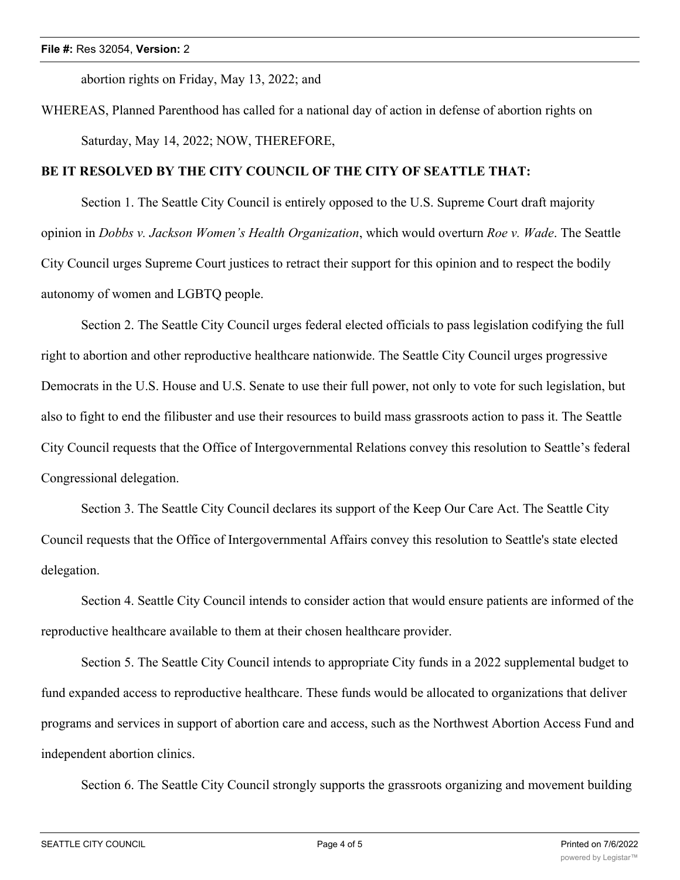abortion rights on Friday, May 13, 2022; and

WHEREAS, Planned Parenthood has called for a national day of action in defense of abortion rights on Saturday, May 14, 2022; NOW, THEREFORE,

# **BE IT RESOLVED BY THE CITY COUNCIL OF THE CITY OF SEATTLE THAT:**

Section 1. The Seattle City Council is entirely opposed to the U.S. Supreme Court draft majority opinion in *Dobbs v. Jackson Women's Health Organization*, which would overturn *Roe v. Wade*. The Seattle City Council urges Supreme Court justices to retract their support for this opinion and to respect the bodily autonomy of women and LGBTQ people.

Section 2. The Seattle City Council urges federal elected officials to pass legislation codifying the full right to abortion and other reproductive healthcare nationwide. The Seattle City Council urges progressive Democrats in the U.S. House and U.S. Senate to use their full power, not only to vote for such legislation, but also to fight to end the filibuster and use their resources to build mass grassroots action to pass it. The Seattle City Council requests that the Office of Intergovernmental Relations convey this resolution to Seattle's federal Congressional delegation.

Section 3. The Seattle City Council declares its support of the Keep Our Care Act. The Seattle City Council requests that the Office of Intergovernmental Affairs convey this resolution to Seattle's state elected delegation.

Section 4. Seattle City Council intends to consider action that would ensure patients are informed of the reproductive healthcare available to them at their chosen healthcare provider.

Section 5. The Seattle City Council intends to appropriate City funds in a 2022 supplemental budget to fund expanded access to reproductive healthcare. These funds would be allocated to organizations that deliver programs and services in support of abortion care and access, such as the Northwest Abortion Access Fund and independent abortion clinics.

Section 6. The Seattle City Council strongly supports the grassroots organizing and movement building